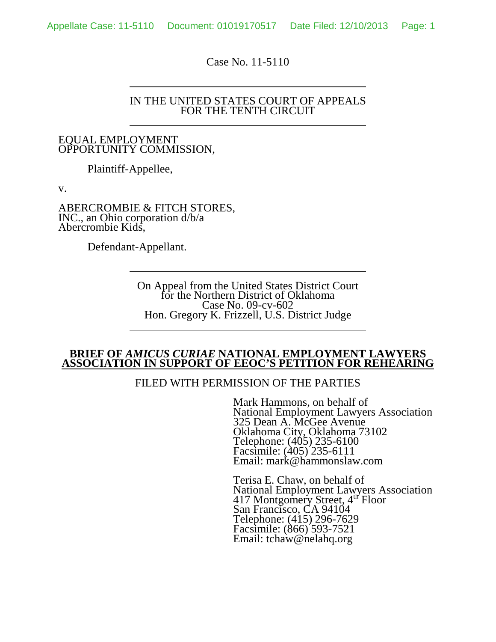Case No. 11-5110

#### IN THE UNITED STATES COURT OF APPEALS FOR THE TENTH CIRCUIT

#### EQUAL EMPLOYMENT OPPORTUNITY COMMISSION,

Plaintiff-Appellee,

v.

ABERCROMBIE & FITCH STORES, INC., an Ohio corporation d/b/a Abercrombie Kids,

Defendant-Appellant.

On Appeal from the United States District Court for the Northern District of Oklahoma Case No. 09-cv-602 Hon. Gregory K. Frizzell, U.S. District Judge

#### **BRIEF OF** *AMICUS CURIAE* **NATIONAL EMPLOYMENT LAWYERS ASSOCIATION IN SUPPORT OF EEOC'S PETITION FOR REHEARING**

## FILED WITH PERMISSION OF THE PARTIES

Mark Hammons, on behalf of National Employment Lawyers Association 325 Dean A. McGee Avenue Oklahoma City, Oklahoma 73102 Telephone: (405) 235-6100 Facsimile: (405) 235-6111 Email: mark@hammonslaw.com

Terisa E. Chaw, on behalf of National Employment Lawyers Association 417 Montgomery Street, 4<sup>th</sup> Floor San Francisco, CA 94104 Telephone: (415) 296-7629 Facsimile: (866) 593-7521 Email: tchaw@nelahq.org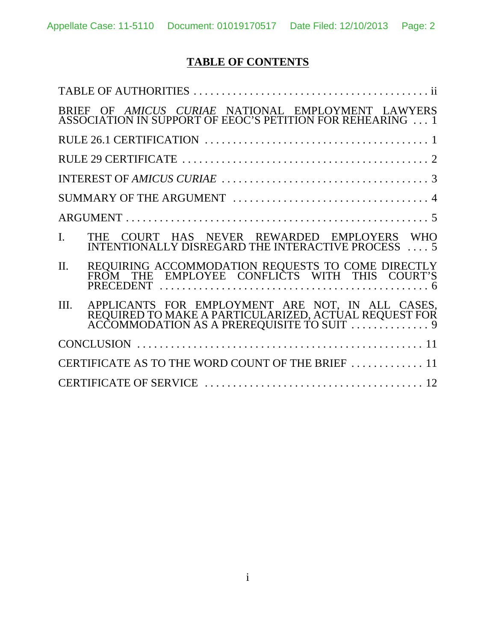# **TABLE OF CONTENTS**

| BRIEF OF AMICUS CURIAE NATIONAL EMPLOYMENT LAWYERS<br>ASSOCIATION IN SUPPORT OF EEOC'S PETITION FOR REHEARING  1   |
|--------------------------------------------------------------------------------------------------------------------|
|                                                                                                                    |
|                                                                                                                    |
|                                                                                                                    |
|                                                                                                                    |
|                                                                                                                    |
| $\mathbf{I}$ .<br>THE COURT HAS NEVER REWARDED EMPLOYERS WHO<br>INTENTIONALLY DISREGARD THE INTERACTIVE PROCESS  5 |
| REQUIRING ACCOMMODATION REQUESTS TO COME DIRECTLY FROM THE EMPLOYEE CONFLICTS WITH THIS COURT'S<br>$\Pi$ .         |
| III.<br>APPLICANTS FOR EMPLOYMENT ARE NOT, IN ALL CASES,<br>REQUIRED TO MAKE A PARTICULARIZED, ACTUAL REQUEST FOR  |
|                                                                                                                    |
| CERTIFICATE AS TO THE WORD COUNT OF THE BRIEF  11                                                                  |
|                                                                                                                    |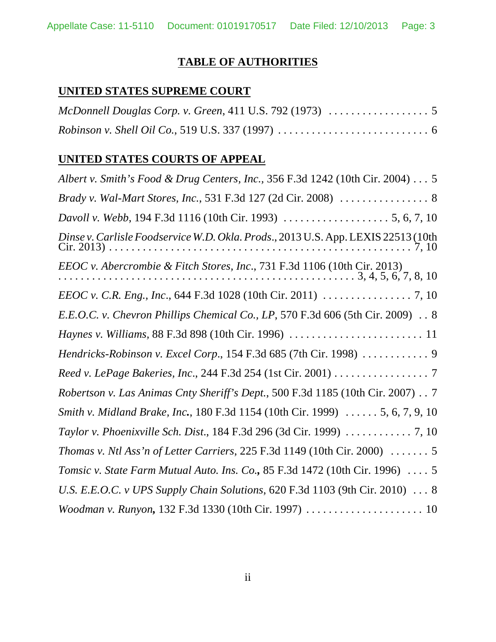## **TABLE OF AUTHORITIES**

# **UNITED STATES SUPREME COURT**

## **UNITED STATES COURTS OF APPEAL**

| Albert v. Smith's Food & Drug Centers, Inc., 356 F.3d 1242 (10th Cir. 2004) 5            |
|------------------------------------------------------------------------------------------|
|                                                                                          |
|                                                                                          |
| Dinse v. Carlisle Foodservice W.D. Okla. Prods., 2013 U.S. App. LEXIS 22513 (10th        |
|                                                                                          |
|                                                                                          |
| E.E.O.C. v. Chevron Phillips Chemical Co., LP, 570 F.3d 606 (5th Cir. 2009) . 8          |
|                                                                                          |
| Hendricks-Robinson v. Excel Corp., 154 F.3d 685 (7th Cir. 1998)  9                       |
| Reed v. LePage Bakeries, Inc., 244 F.3d 254 (1st Cir. 2001) 7                            |
| Robertson v. Las Animas Cnty Sheriff's Dept., 500 F.3d 1185 (10th Cir. 2007) 7           |
| Smith v. Midland Brake, Inc., 180 F.3d 1154 (10th Cir. 1999)  5, 6, 7, 9, 10             |
|                                                                                          |
| Thomas v. Ntl Ass'n of Letter Carriers, 225 F.3d 1149 (10th Cir. 2000) $\ldots \ldots$ 5 |
| Tomsic v. State Farm Mutual Auto. Ins. Co., 85 F.3d 1472 (10th Cir. 1996)  5             |
| U.S. E.E.O.C. v UPS Supply Chain Solutions, 620 F.3d 1103 (9th Cir. 2010) 8              |
| Woodman v. Runyon, 132 F.3d 1330 (10th Cir. 1997)  10                                    |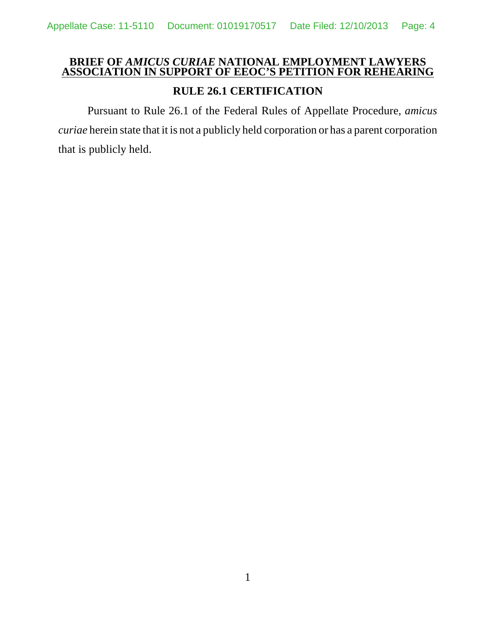## **BRIEF OF** *AMICUS CURIAE* **NATIONAL EMPLOYMENT LAWYERS ASSOCIATION IN SUPPORT OF EEOC'S PETITION FOR REHEARING**

## **RULE 26.1 CERTIFICATION**

Pursuant to Rule 26.1 of the Federal Rules of Appellate Procedure, *amicus curiae* herein state that it is not a publicly held corporation or has a parent corporation that is publicly held.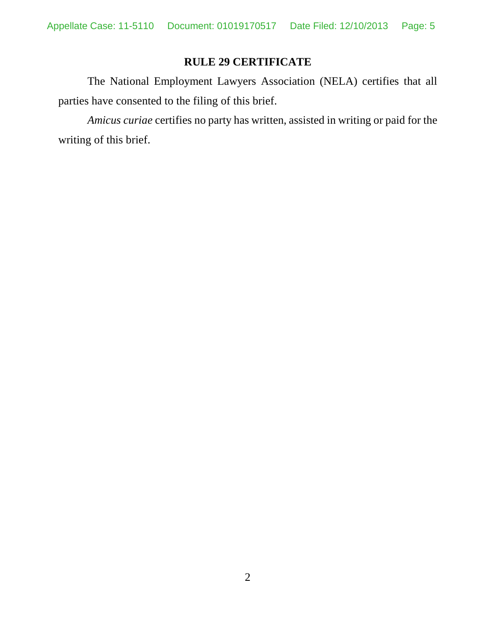## **RULE 29 CERTIFICATE**

The National Employment Lawyers Association (NELA) certifies that all parties have consented to the filing of this brief.

*Amicus curiae* certifies no party has written, assisted in writing or paid for the writing of this brief.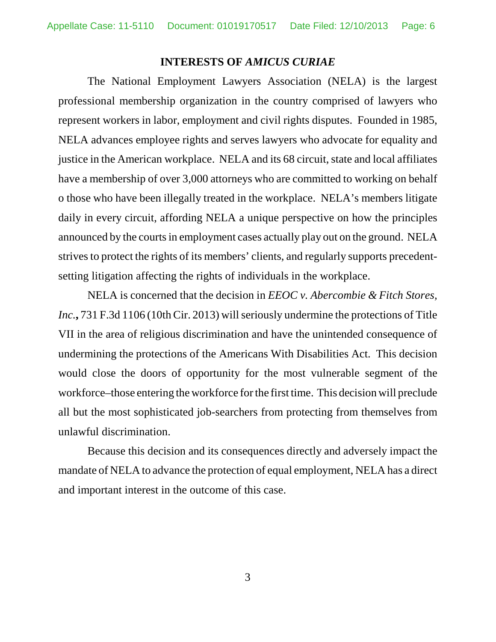#### **INTERESTS OF** *AMICUS CURIAE*

The National Employment Lawyers Association (NELA) is the largest professional membership organization in the country comprised of lawyers who represent workers in labor, employment and civil rights disputes. Founded in 1985, NELA advances employee rights and serves lawyers who advocate for equality and justice in the American workplace. NELA and its 68 circuit, state and local affiliates have a membership of over 3,000 attorneys who are committed to working on behalf o those who have been illegally treated in the workplace. NELA's members litigate daily in every circuit, affording NELA a unique perspective on how the principles announced by the courts in employment cases actually play out on the ground. NELA strives to protect the rights of its members' clients, and regularly supports precedentsetting litigation affecting the rights of individuals in the workplace.

NELA is concerned that the decision in *EEOC v. Abercombie & Fitch Stores, Inc.***,** 731 F.3d 1106 (10th Cir. 2013) will seriously undermine the protections of Title VII in the area of religious discrimination and have the unintended consequence of undermining the protections of the Americans With Disabilities Act. This decision would close the doors of opportunity for the most vulnerable segment of the workforce–those entering the workforce for the first time. This decision will preclude all but the most sophisticated job-searchers from protecting from themselves from unlawful discrimination.

Because this decision and its consequences directly and adversely impact the mandate of NELA to advance the protection of equal employment, NELA has a direct and important interest in the outcome of this case.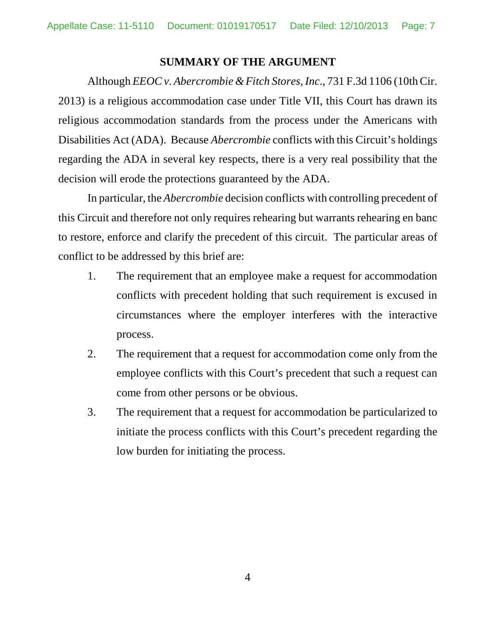### **SUMMARY OF THE ARGUMENT**

Although *EEOC v. Abercrombie & Fitch Stores, Inc*., 731 F.3d 1106 (10th Cir. 2013) is a religious accommodation case under Title VII, this Court has drawn its religious accommodation standards from the process under the Americans with Disabilities Act (ADA). Because *Abercrombie* conflicts with this Circuit's holdings regarding the ADA in several key respects, there is a very real possibility that the decision will erode the protections guaranteed by the ADA.

In particular, the *Abercrombie* decision conflicts with controlling precedent of this Circuit and therefore not only requires rehearing but warrants rehearing en banc to restore, enforce and clarify the precedent of this circuit. The particular areas of conflict to be addressed by this brief are:

- 1. The requirement that an employee make a request for accommodation conflicts with precedent holding that such requirement is excused in circumstances where the employer interferes with the interactive process.
- 2. The requirement that a request for accommodation come only from the employee conflicts with this Court's precedent that such a request can come from other persons or be obvious.
- 3. The requirement that a request for accommodation be particularized to initiate the process conflicts with this Court's precedent regarding the low burden for initiating the process.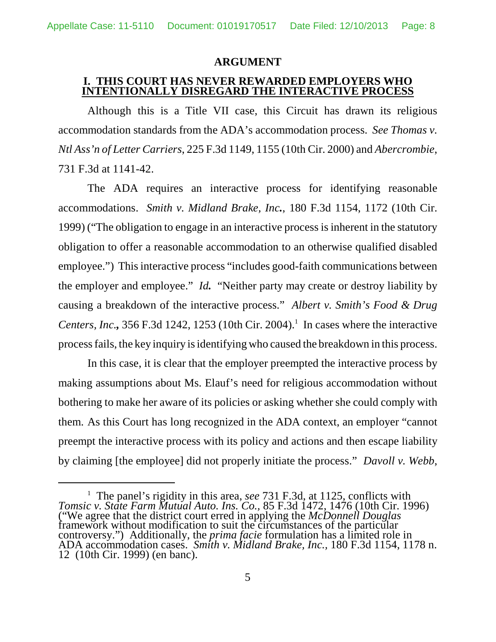#### **ARGUMENT**

## **I. THIS COURT HAS NEVER REWARDED EMPLOYERS WHO INTENTIONALLY DISREGARD THE INTERACTIVE PROCESS**

Although this is a Title VII case, this Circuit has drawn its religious accommodation standards from the ADA's accommodation process. *See Thomas v. Ntl Ass'n of Letter Carriers*, 225 F.3d 1149, 1155 (10th Cir. 2000) and *Abercrombie*, 731 F.3d at 1141-42.

The ADA requires an interactive process for identifying reasonable accommodations. *Smith v. Midland Brake, Inc.*, 180 F.3d 1154, 1172 (10th Cir. 1999) ("The obligation to engage in an interactive process is inherent in the statutory obligation to offer a reasonable accommodation to an otherwise qualified disabled employee.") This interactive process "includes good-faith communications between the employer and employee." *Id.* "Neither party may create or destroy liability by causing a breakdown of the interactive process." *Albert v. Smith's Food & Drug Centers, Inc.*,  $356$  F.3d 1242, 1253 (10th Cir. 2004).<sup>1</sup> In cases where the interactive process fails, the key inquiry is identifying who caused the breakdown in this process.

In this case, it is clear that the employer preempted the interactive process by making assumptions about Ms. Elauf's need for religious accommodation without bothering to make her aware of its policies or asking whether she could comply with them. As this Court has long recognized in the ADA context, an employer "cannot preempt the interactive process with its policy and actions and then escape liability by claiming [the employee] did not properly initiate the process." *Davoll v. Webb*,

<sup>&</sup>lt;sup>1</sup> The panel's rigidity in this area, *see* 731 F.3d, at 1125, conflicts with *Tomsic v. State Farm Mutual Auto. Ins. Co.,* 85 F.3d 1472, 1476 (10th Cir. 1996) ("We agree that the district court erred in applying the *McDonnell Douglas* framework without modification to suit the circumstances of the particular controversy.") Additionally, the *prima facie* formulation has a limited role in ADA accommodation cases. *Smith v. Midland Brake, Inc.,* 180 F.3d 1154, 1178 n. 12 (10th Cir. 1999) (en banc).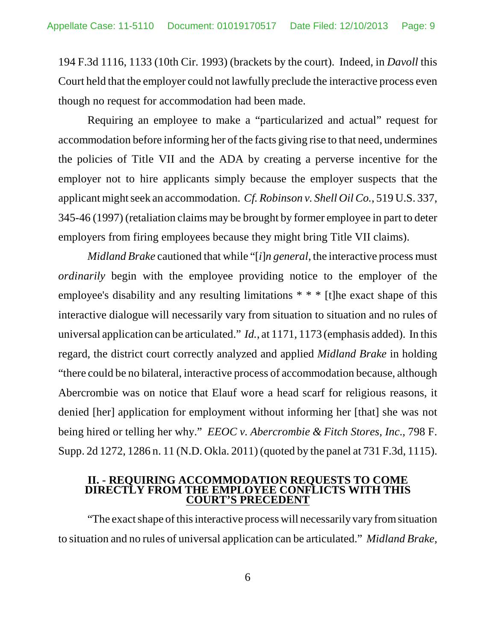194 F.3d 1116, 1133 (10th Cir. 1993) (brackets by the court). Indeed, in *Davoll* this Court held that the employer could not lawfully preclude the interactive process even though no request for accommodation had been made.

Requiring an employee to make a "particularized and actual" request for accommodation before informing her of the facts giving rise to that need, undermines the policies of Title VII and the ADA by creating a perverse incentive for the employer not to hire applicants simply because the employer suspects that the applicant might seek an accommodation. *Cf. Robinson v. Shell Oil Co.*, 519 U.S. 337, 345-46 (1997) (retaliation claims may be brought by former employee in part to deter employers from firing employees because they might bring Title VII claims).

*Midland Brake* cautioned that while "[*i*]*n general*, the interactive process must *ordinarily* begin with the employee providing notice to the employer of the employee's disability and any resulting limitations \* \* \* [t]he exact shape of this interactive dialogue will necessarily vary from situation to situation and no rules of universal application can be articulated." *Id.*, at 1171, 1173 (emphasis added). In this regard, the district court correctly analyzed and applied *Midland Brake* in holding "there could be no bilateral, interactive process of accommodation because, although Abercrombie was on notice that Elauf wore a head scarf for religious reasons, it denied [her] application for employment without informing her [that] she was not being hired or telling her why." *EEOC v. Abercrombie & Fitch Stores, Inc*., 798 F. Supp. 2d 1272, 1286 n. 11 (N.D. Okla. 2011) (quoted by the panel at 731 F.3d, 1115).

#### **II. - REQUIRING ACCOMMODATION REQUESTS TO COME DIRECTLY FROM THE EMPLOYEE CONFLICTS WITH THIS COURT'S PRECEDENT**

"The exact shape of this interactive process will necessarily vary from situation to situation and no rules of universal application can be articulated." *Midland Brake,*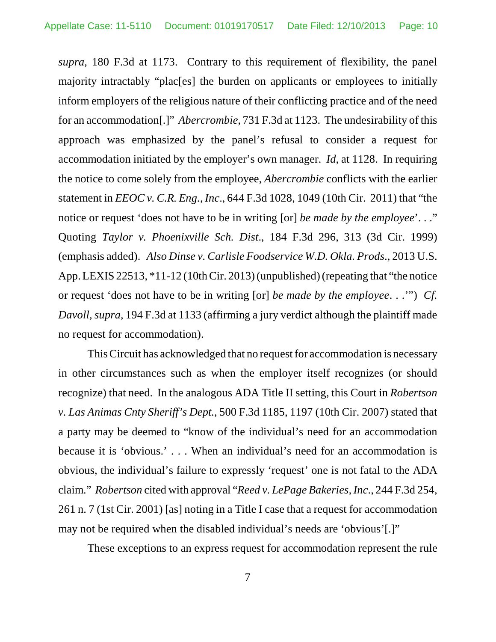*supra*, 180 F.3d at 1173. Contrary to this requirement of flexibility, the panel majority intractably "plac[es] the burden on applicants or employees to initially inform employers of the religious nature of their conflicting practice and of the need for an accommodation[.]" *Abercrombie*, 731 F.3d at 1123. The undesirability of this approach was emphasized by the panel's refusal to consider a request for accommodation initiated by the employer's own manager. *Id*, at 1128. In requiring the notice to come solely from the employee, *Abercrombie* conflicts with the earlier statement in *EEOC v. C.R. Eng., Inc*., 644 F.3d 1028, 1049 (10th Cir. 2011) that "the notice or request 'does not have to be in writing [or] *be made by the employee*'. . ." Quoting *Taylor v. Phoenixville Sch. Dist*., 184 F.3d 296, 313 (3d Cir. 1999) (emphasis added). *Also Dinse v. Carlisle Foodservice W.D. Okla. Prods*., 2013 U.S. App. LEXIS 22513, \*11-12 (10th Cir. 2013) (unpublished) (repeating that "the notice or request 'does not have to be in writing [or] *be made by the employee*. . .'") *Cf. Davoll, supra*, 194 F.3d at 1133 (affirming a jury verdict although the plaintiff made no request for accommodation).

This Circuit has acknowledged that no request for accommodation is necessary in other circumstances such as when the employer itself recognizes (or should recognize) that need. In the analogous ADA Title II setting, this Court in *Robertson v. Las Animas Cnty Sheriff's Dept.*, 500 F.3d 1185, 1197 (10th Cir. 2007) stated that a party may be deemed to "know of the individual's need for an accommodation because it is 'obvious.' . . . When an individual's need for an accommodation is obvious, the individual's failure to expressly 'request' one is not fatal to the ADA claim." *Robertson* cited with approval "*Reed v. LePage Bakeries, Inc*., 244 F.3d 254, 261 n. 7 (1st Cir. 2001) [as] noting in a Title I case that a request for accommodation may not be required when the disabled individual's needs are 'obvious'[.]"

These exceptions to an express request for accommodation represent the rule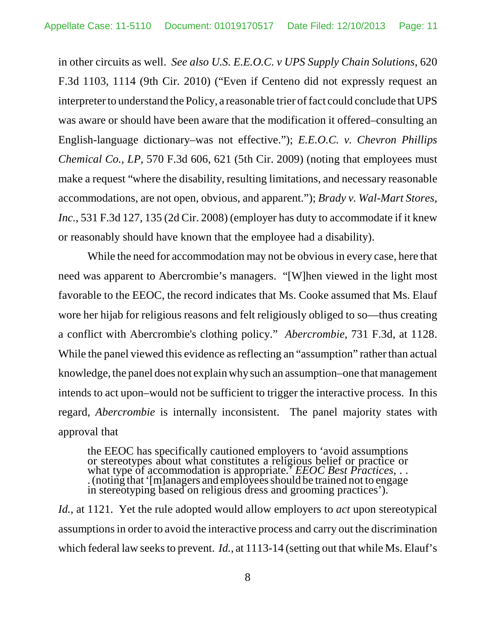in other circuits as well. *See also U.S. E.E.O.C. v UPS Supply Chain Solutions*, 620 F.3d 1103, 1114 (9th Cir. 2010) ("Even if Centeno did not expressly request an interpreter to understand the Policy, a reasonable trier of fact could conclude that UPS was aware or should have been aware that the modification it offered–consulting an English-language dictionary–was not effective."); *E.E.O.C. v. Chevron Phillips Chemical Co., LP*, 570 F.3d 606, 621 (5th Cir. 2009) (noting that employees must make a request "where the disability, resulting limitations, and necessary reasonable accommodations, are not open, obvious, and apparent."); *Brady v. Wal-Mart Stores, Inc.*, 531 F.3d 127, 135 (2d Cir. 2008) (employer has duty to accommodate if it knew or reasonably should have known that the employee had a disability).

While the need for accommodation may not be obvious in every case, here that need was apparent to Abercrombie's managers. "[W]hen viewed in the light most favorable to the EEOC, the record indicates that Ms. Cooke assumed that Ms. Elauf wore her hijab for religious reasons and felt religiously obliged to so—thus creating a conflict with Abercrombie's clothing policy." *Abercrombie*, 731 F.3d, at 1128. While the panel viewed this evidence as reflecting an "assumption" rather than actual knowledge, the panel does not explain why such an assumption–one that management intends to act upon–would not be sufficient to trigger the interactive process. In this regard, *Abercrombie* is internally inconsistent. The panel majority states with approval that

the EEOC has specifically cautioned employers to 'avoid assumptions or stereotypes about what constitutes a religious belief or practice or what type of accommodation is appropriate.' *EEOC Best Practices*, . . . (noting that '[m]anagers and employees should be trained not to engage in stereotyping based on religious dress and grooming practices').

*Id.*, at 1121. Yet the rule adopted would allow employers to *act* upon stereotypical assumptions in order to avoid the interactive process and carry out the discrimination which federal law seeks to prevent. *Id.*, at 1113-14 (setting out that while Ms. Elauf's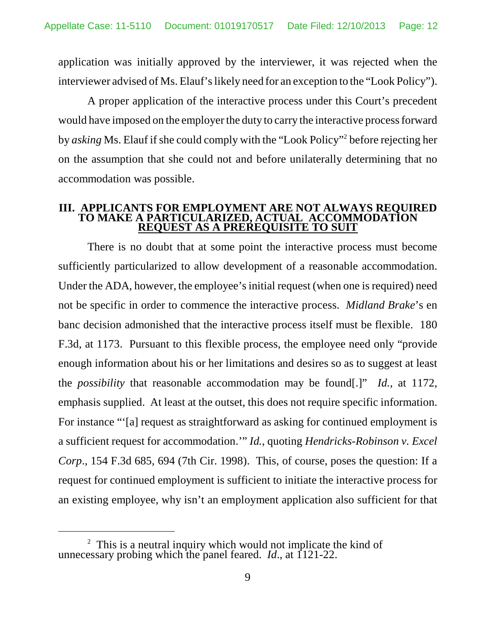application was initially approved by the interviewer, it was rejected when the interviewer advised of Ms. Elauf's likely need for an exception to the "Look Policy").

A proper application of the interactive process under this Court's precedent would have imposed on the employer the duty to carry the interactive process forward by *asking* Ms. Elauf if she could comply with the "Look Policy" before rejecting her on the assumption that she could not and before unilaterally determining that no accommodation was possible.

#### **III. APPLICANTS FOR EMPLOYMENT ARE NOT ALWAYS REQUIRED TO MAKE A PARTICULARIZED, ACTUAL ACCOMMODATION REQUEST AS A PREREQUISITE TO SUIT**

There is no doubt that at some point the interactive process must become sufficiently particularized to allow development of a reasonable accommodation. Under the ADA, however, the employee's initial request (when one is required) need not be specific in order to commence the interactive process. *Midland Brake*'s en banc decision admonished that the interactive process itself must be flexible. 180 F.3d, at 1173. Pursuant to this flexible process, the employee need only "provide enough information about his or her limitations and desires so as to suggest at least the *possibility* that reasonable accommodation may be found[.]" *Id.*, at 1172, emphasis supplied. At least at the outset, this does not require specific information. For instance "'[a] request as straightforward as asking for continued employment is a sufficient request for accommodation.'" *Id.*, quoting *Hendricks-Robinson v. Excel Corp*., 154 F.3d 685, 694 (7th Cir. 1998). This, of course, poses the question: If a request for continued employment is sufficient to initiate the interactive process for an existing employee, why isn't an employment application also sufficient for that

 $2^2$  This is a neutral inquiry which would not implicate the kind of unnecessary probing which the panel feared. *Id*., at 1121-22.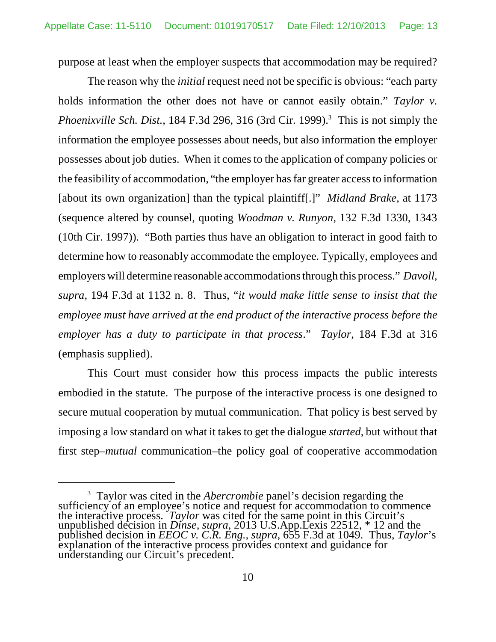purpose at least when the employer suspects that accommodation may be required?

The reason why the *initial* request need not be specific is obvious: "each party holds information the other does not have or cannot easily obtain." *Taylor v. Phoenixville Sch. Dist.*, 184 F.3d 296, 316 (3rd Cir. 1999).<sup>3</sup> This is not simply the information the employee possesses about needs, but also information the employer possesses about job duties. When it comes to the application of company policies or the feasibility of accommodation, "the employer has far greater access to information [about its own organization] than the typical plaintiff[.]" *Midland Brake*, at 1173 (sequence altered by counsel, quoting *Woodman v. Runyon,* 132 F.3d 1330, 1343 (10th Cir. 1997)). "Both parties thus have an obligation to interact in good faith to determine how to reasonably accommodate the employee. Typically, employees and employers will determine reasonable accommodations through this process." *Davoll, supra*, 194 F.3d at 1132 n. 8. Thus, "*it would make little sense to insist that the employee must have arrived at the end product of the interactive process before the employer has a duty to participate in that process*." *Taylor,* 184 F.3d at 316 (emphasis supplied).

This Court must consider how this process impacts the public interests embodied in the statute. The purpose of the interactive process is one designed to secure mutual cooperation by mutual communication. That policy is best served by imposing a low standard on what it takes to get the dialogue *started*, but without that first step–*mutual* communication–the policy goal of cooperative accommodation

<sup>&</sup>lt;sup>3</sup> Taylor was cited in the *Abercrombie* panel's decision regarding the sufficiency of an employee's notice and request for accommodation to commence the interactive process. *Taylor* was cited for the same point in this Circuit's unpublished decision in *Dinse, supra*, 2013 U.S.App.Lexis 22512, \* 12 and the published decision in *EEOC v. C.R. Eng., supra*, 655 F.3d at 1049. Thus, *Taylor*'s explanation of the interactive process provides context and guidance for understanding our Circuit's precedent.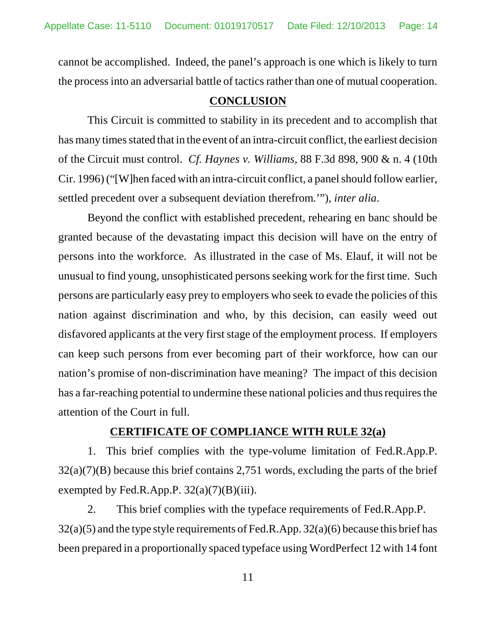cannot be accomplished. Indeed, the panel's approach is one which is likely to turn the process into an adversarial battle of tactics rather than one of mutual cooperation.

### **CONCLUSION**

This Circuit is committed to stability in its precedent and to accomplish that has many times stated that in the event of an intra-circuit conflict, the earliest decision of the Circuit must control. *Cf. Haynes v. Williams,* 88 F.3d 898, 900 & n. 4 (10th Cir. 1996) ("[W]hen faced with an intra-circuit conflict, a panel should follow earlier, settled precedent over a subsequent deviation therefrom.'"), *inter alia*.

Beyond the conflict with established precedent, rehearing en banc should be granted because of the devastating impact this decision will have on the entry of persons into the workforce. As illustrated in the case of Ms. Elauf, it will not be unusual to find young, unsophisticated persons seeking work for the first time. Such persons are particularly easy prey to employers who seek to evade the policies of this nation against discrimination and who, by this decision, can easily weed out disfavored applicants at the very first stage of the employment process. If employers can keep such persons from ever becoming part of their workforce, how can our nation's promise of non-discrimination have meaning? The impact of this decision has a far-reaching potential to undermine these national policies and thus requires the attention of the Court in full.

## **CERTIFICATE OF COMPLIANCE WITH RULE 32(a)**

1. This brief complies with the type-volume limitation of Fed.R.App.P.  $32(a)(7)(B)$  because this brief contains 2,751 words, excluding the parts of the brief exempted by Fed.R.App.P.  $32(a)(7)(B)(iii)$ .

2. This brief complies with the typeface requirements of Fed.R.App.P. 32(a)(5) and the type style requirements of Fed.R.App. 32(a)(6) because this brief has been prepared in a proportionally spaced typeface using WordPerfect 12 with 14 font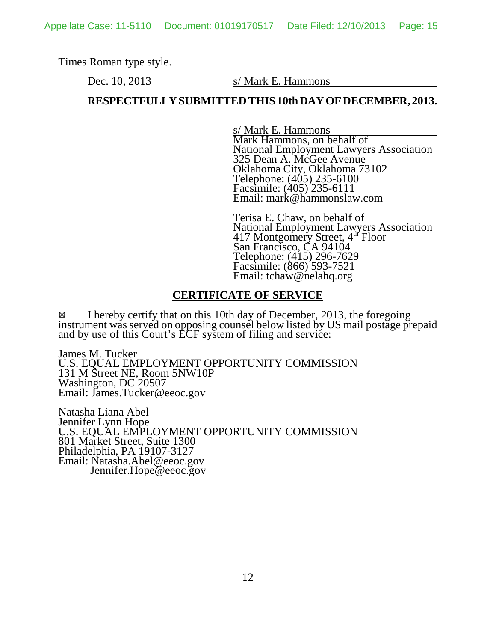Times Roman type style.

Dec. 10, 2013 s/ Mark E. Hammons

## **RESPECTFULLY SUBMITTED THIS 10th DAY OF DECEMBER, 2013.**

s/ Mark E. Hammons Mark Hammons, on behalf of National Employment Lawyers Association 325 Dean A. McGee Avenue Oklahoma City, Oklahoma 73102 Telephone: (405) 235-6100 Facsimile: (405) 235-6111 Email: mark@hammonslaw.com

Terisa E. Chaw, on behalf of National Employment Lawyers Association 417 Montgomery Street, 4<sup>th</sup> Floor San Francisco, CA 94104 Telephone: (415) 296-7629 Facsimile: (866) 593-7521 Email: tchaw@nelahq.org

## **CERTIFICATE OF SERVICE**

I hereby certify that on this 10th day of December, 2013, the foregoing instrument was served on opposing counsel below listed by US mail postage prepaid and by use of this Court's ECF system of filing and service:

James M. Tucker U.S. EQUAL EMPLOYMENT OPPORTUNITY COMMISSION 131 M Street NE, Room 5NW10P Washington, DC 20507 Email: James.Tucker@eeoc.gov

Natasha Liana Abel Jennifer Lynn Hope U.S. EQUAL EMPLOYMENT OPPORTUNITY COMMISSION 801 Market Street, Suite 1300 Philadelphia, PA 19107-3127 Email: Natasha.Abel@eeoc.gov Jennifer.Hope@eeoc.gov